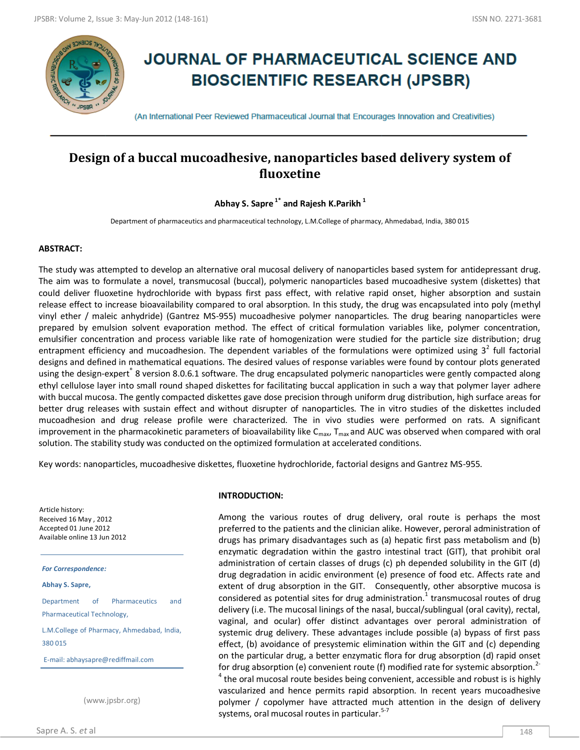

# **JOURNAL OF PHARMACEUTICAL SCIENCE AND BIOSCIENTIFIC RESEARCH (JPSBR)**

(An International Peer Reviewed Pharmaceutical Journal that Encourages Innovation and Creativities)

# **Design of a buccal mucoadhesive, nanoparticles based delivery system of fluoxetine**

**Abhay S. Sapre 1\* and Rajesh K.Parikh <sup>1</sup>**

Department of pharmaceutics and pharmaceutical technology, L.M.College of pharmacy, Ahmedabad, India, 380 015

### **ABSTRACT:**

The study was attempted to develop an alternative oral mucosal delivery of nanoparticles based system for antidepressant drug. The aim was to formulate a novel, transmucosal (buccal), polymeric nanoparticles based mucoadhesive system (diskettes) that could deliver fluoxetine hydrochloride with bypass first pass effect, with relative rapid onset, higher absorption and sustain release effect to increase bioavailability compared to oral absorption. In this study, the drug was encapsulated into poly (methyl vinyl ether / maleic anhydride) (Gantrez MS-955) mucoadhesive polymer nanoparticles. The drug bearing nanoparticles were prepared by emulsion solvent evaporation method. The effect of critical formulation variables like, polymer concentration, emulsifier concentration and process variable like rate of homogenization were studied for the particle size distribution; drug entrapment efficiency and mucoadhesion. The dependent variables of the formulations were optimized using  $3^2$  full factorial designs and defined in mathematical equations. The desired values of response variables were found by contour plots generated using the design-expert® 8 version 8.0.6.1 software. The drug encapsulated polymeric nanoparticles were gently compacted along ethyl cellulose layer into small round shaped diskettes for facilitating buccal application in such a way that polymer layer adhere with buccal mucosa. The gently compacted diskettes gave dose precision through uniform drug distribution, high surface areas for better drug releases with sustain effect and without disrupter of nanoparticles. The in vitro studies of the diskettes included mucoadhesion and drug release profile were characterized. The in vivo studies were performed on rats. A significant improvement in the pharmacokinetic parameters of bioavailability like  $C_{max}$ ,  $T_{max}$  and AUC was observed when compared with oral solution. The stability study was conducted on the optimized formulation at accelerated conditions.

Key words: nanoparticles, mucoadhesive diskettes, fluoxetine hydrochloride, factorial designs and Gantrez MS-955.

Article history: Received 16 May , 2012 Accepted 01 June 2012 Available online 13 Jun 2012

*For Correspondence:*

**Abhay S. Sapre,**

Department of Pharmaceutics and Pharmaceutical Technology,

L.M.College of Pharmacy, Ahmedabad, India, 380 015

E-mail: abhaysapre@rediffmail.com

(www.jpsbr.org)

### **INTRODUCTION:**

Among the various routes of drug delivery, oral route is perhaps the most preferred to the patients and the clinician alike. However, peroral administration of drugs has primary disadvantages such as (a) hepatic first pass metabolism and (b) enzymatic degradation within the gastro intestinal tract (GIT), that prohibit oral administration of certain classes of drugs (c) ph depended solubility in the GIT (d) drug degradation in acidic environment (e) presence of food etc. Affects rate and extent of drug absorption in the GIT. Consequently, other absorptive mucosa is considered as potential sites for drug administration.<sup>1</sup> transmucosal routes of drug delivery (i.e. The mucosal linings of the nasal, buccal/sublingual (oral cavity), rectal, vaginal, and ocular) offer distinct advantages over peroral administration of systemic drug delivery. These advantages include possible (a) bypass of first pass effect, (b) avoidance of presystemic elimination within the GIT and (c) depending on the particular drug, a better enzymatic flora for drug absorption (d) rapid onset for drug absorption (e) convenient route (f) modified rate for systemic absorption.<sup>2-</sup>  $^4$  the oral mucosal route besides being convenient, accessible and robust is is highly vascularized and hence permits rapid absorption. In recent years mucoadhesive polymer / copolymer have attracted much attention in the design of delivery systems, oral mucosal routes in particular.<sup>5-7</sup>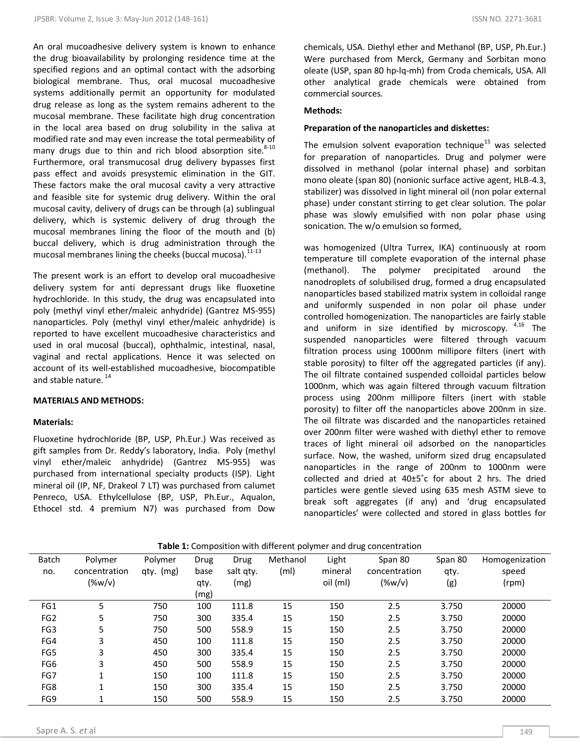An oral mucoadhesive delivery system is known to enhance the drug bioavailability by prolonging residence time at the specified regions and an optimal contact with the adsorbing biological membrane. Thus, oral mucosal mucoadhesive systems additionally permit an opportunity for modulated drug release as long as the system remains adherent to the mucosal membrane. These facilitate high drug concentration in the local area based on drug solubility in the saliva at modified rate and may even increase the total permeability of many drugs due to thin and rich blood absorption site. $8-10$ Furthermore, oral transmucosal drug delivery bypasses first pass effect and avoids presystemic elimination in the GIT. These factors make the oral mucosal cavity a very attractive and feasible site for systemic drug delivery. Within the oral mucosal cavity, delivery of drugs can be through (a) sublingual delivery, which is systemic delivery of drug through the mucosal membranes lining the floor of the mouth and (b) buccal delivery, which is drug administration through the mucosal membranes lining the cheeks (buccal mucosa).<sup>11-13</sup>

The present work is an effort to develop oral mucoadhesive delivery system for anti depressant drugs like fluoxetine hydrochloride. In this study, the drug was encapsulated into poly (methyl vinyl ether/maleic anhydride) (Gantrez MS-955) nanoparticles. Poly (methyl vinyl ether/maleic anhydride) is reported to have excellent mucoadhesive characteristics and used in oral mucosal (buccal), ophthalmic, intestinal, nasal, vaginal and rectal applications. Hence it was selected on account of its well-established mucoadhesive, biocompatible and stable nature.<sup>14</sup>

### **MATERIALS AND METHODS:**

### **Materials:**

Fluoxetine hydrochloride (BP, USP, Ph.Eur.) Was received as gift samples from Dr. Reddy's laboratory, India. Poly (methyl vinyl ether/maleic anhydride) (Gantrez MS-955) was purchased from international specialty products (ISP). Light mineral oil (IP, NF, Drakeol 7 LT) was purchased from calumet Penreco, USA. Ethylcellulose (BP, USP, Ph.Eur., Aqualon, Ethocel std. 4 premium N7) was purchased from Dow

chemicals, USA. Diethyl ether and Methanol (BP, USP, Ph.Eur.) Were purchased from Merck, Germany and Sorbitan mono oleate (USP, span 80 hp-lq-mh) from Croda chemicals, USA. All other analytical grade chemicals were obtained from commercial sources.

### **Methods:**

### **Preparation of the nanoparticles and diskettes:**

The emulsion solvent evaporation technique<sup>15</sup> was selected for preparation of nanoparticles. Drug and polymer were dissolved in methanol (polar internal phase) and sorbitan mono oleate (span 80) (nonionic surface active agent, HLB-4.3, stabilizer) was dissolved in light mineral oil (non polar external phase) under constant stirring to get clear solution. The polar phase was slowly emulsified with non polar phase using sonication. The w/o emulsion so formed,

was homogenized (Ultra Turrex, IKA) continuously at room temperature till complete evaporation of the internal phase (methanol). The polymer precipitated around the nanodroplets of solubilised drug, formed a drug encapsulated nanoparticles based stabilized matrix system in colloidal range and uniformly suspended in non polar oil phase under controlled homogenization. The nanoparticles are fairly stable and uniform in size identified by microscopy.  $4,16$  The suspended nanoparticles were filtered through vacuum filtration process using 1000nm millipore filters (inert with stable porosity) to filter off the aggregated particles (if any). The oil filtrate contained suspended colloidal particles below 1000nm, which was again filtered through vacuum filtration process using 200nm millipore filters (inert with stable porosity) to filter off the nanoparticles above 200nm in size. The oil filtrate was discarded and the nanoparticles retained over 200nm filter were washed with diethyl ether to remove traces of light mineral oil adsorbed on the nanoparticles surface. Now, the washed, uniform sized drug encapsulated nanoparticles in the range of 200nm to 1000nm were collected and dried at 40±5˚c for about 2 hrs. The dried particles were gentle sieved using 635 mesh ASTM sieve to break soft aggregates (if any) and 'drug encapsulated nanoparticles' were collected and stored in glass bottles for

| Batch           | Polymer        | Polymer   | Drug | Drug      | Methanol          | Light    | Span 80       | Span 80 | Homogenization |
|-----------------|----------------|-----------|------|-----------|-------------------|----------|---------------|---------|----------------|
| no.             | concentration  | qty. (mg) | base | salt qty. | (m <sub>l</sub> ) | mineral  | concentration | qty.    | speed          |
|                 | $(\%w/v)$      |           | qty. | (mg)      |                   | oil (ml) | $(\%w/v)$     | (g)     | (rpm)          |
|                 |                |           | (mg) |           |                   |          |               |         |                |
| FG1             | 5              | 750       | 100  | 111.8     | 15                | 150      | 2.5           | 3.750   | 20000          |
| FG <sub>2</sub> | 5              | 750       | 300  | 335.4     | 15                | 150      | 2.5           | 3.750   | 20000          |
| FG <sub>3</sub> | 5              | 750       | 500  | 558.9     | 15                | 150      | 2.5           | 3.750   | 20000          |
| FG4             | 3              | 450       | 100  | 111.8     | 15                | 150      | 2.5           | 3.750   | 20000          |
| FG5             | 3              | 450       | 300  | 335.4     | 15                | 150      | 2.5           | 3.750   | 20000          |
| FG <sub>6</sub> | 3              | 450       | 500  | 558.9     | 15                | 150      | 2.5           | 3.750   | 20000          |
| FG7             | $\overline{ }$ | 150       | 100  | 111.8     | 15                | 150      | 2.5           | 3.750   | 20000          |
| FG8             | 4              | 150       | 300  | 335.4     | 15                | 150      | 2.5           | 3.750   | 20000          |
| FG9             | и              | 150       | 500  | 558.9     | 15                | 150      | 2.5           | 3.750   | 20000          |

**Table 1:** Composition with different polymer and drug concentration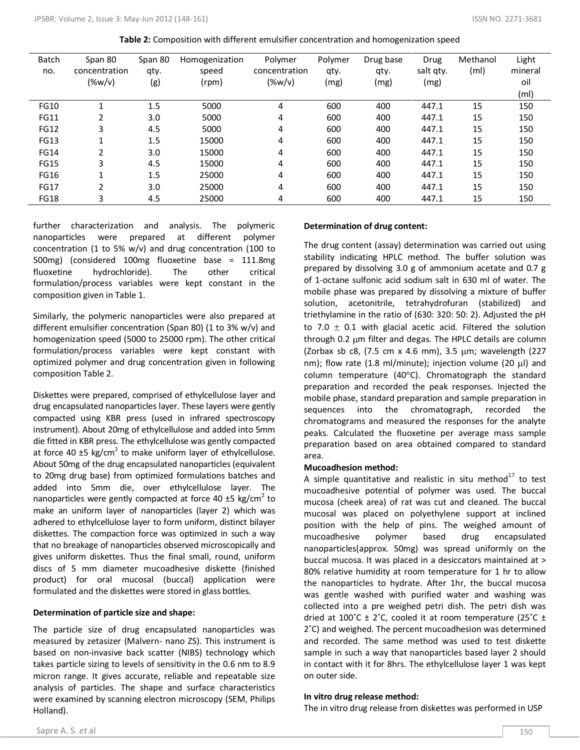| <b>Batch</b> | Span 80        | Span 80 | Homogenization | Polymer       | Polymer | Drug base | Drug      | Methanol          | Light             |
|--------------|----------------|---------|----------------|---------------|---------|-----------|-----------|-------------------|-------------------|
| no.          | concentration  | qty.    | speed          | concentration | qty.    | qty.      | salt qty. | (m <sub>l</sub> ) | mineral           |
|              | $(\%w/v)$      | (g)     | (rpm)          | $(\%w/v)$     | (mg)    | (mg)      | (mg)      |                   | oil               |
|              |                |         |                |               |         |           |           |                   | (m <sub>l</sub> ) |
| <b>FG10</b>  |                | 1.5     | 5000           | 4             | 600     | 400       | 447.1     | 15                | 150               |
| <b>FG11</b>  | 2              | 3.0     | 5000           | 4             | 600     | 400       | 447.1     | 15                | 150               |
| <b>FG12</b>  | 3              | 4.5     | 5000           | 4             | 600     | 400       | 447.1     | 15                | 150               |
| <b>FG13</b>  | 1              | 1.5     | 15000          | 4             | 600     | 400       | 447.1     | 15                | 150               |
| <b>FG14</b>  | 2              | 3.0     | 15000          | 4             | 600     | 400       | 447.1     | 15                | 150               |
| <b>FG15</b>  | 3              | 4.5     | 15000          | 4             | 600     | 400       | 447.1     | 15                | 150               |
| <b>FG16</b>  | $\overline{ }$ | 1.5     | 25000          | 4             | 600     | 400       | 447.1     | 15                | 150               |
| <b>FG17</b>  | 2              | 3.0     | 25000          | 4             | 600     | 400       | 447.1     | 15                | 150               |
| FG18         | 3              | 4.5     | 25000          | 4             | 600     | 400       | 447.1     | 15                | 150               |

**Table 2:** Composition with different emulsifier concentration and homogenization speed

further characterization and analysis. The polymeric nanoparticles were prepared at different polymer concentration (1 to 5% w/v) and drug concentration (100 to 500mg) (considered 100mg fluoxetine base = 111.8mg fluoxetine hydrochloride). The other critical formulation/process variables were kept constant in the composition given in Table 1.

Similarly, the polymeric nanoparticles were also prepared at different emulsifier concentration (Span 80) (1 to 3% w/v) and homogenization speed (5000 to 25000 rpm). The other critical formulation/process variables were kept constant with optimized polymer and drug concentration given in following composition Table 2.

Diskettes were prepared, comprised of ethylcellulose layer and drug encapsulated nanoparticles layer. These layers were gently compacted using KBR press (used in infrared spectroscopy instrument). About 20mg of ethylcellulose and added into 5mm die fitted in KBR press. The ethylcellulose was gently compacted at force 40  $\pm$ 5 kg/cm<sup>2</sup> to make uniform layer of ethylcellulose. About 50mg of the drug encapsulated nanoparticles (equivalent to 20mg drug base) from optimized formulations batches and added into 5mm die, over ethylcellulose layer. The nanoparticles were gently compacted at force 40  $\pm$ 5 kg/cm<sup>2</sup> to make an uniform layer of nanoparticles (layer 2) which was adhered to ethylcellulose layer to form uniform, distinct bilayer diskettes. The compaction force was optimized in such a way that no breakage of nanoparticles observed microscopically and gives uniform diskettes. Thus the final small, round, uniform discs of 5 mm diameter mucoadhesive diskette (finished product) for oral mucosal (buccal) application were formulated and the diskettes were stored in glass bottles.

### **Determination of particle size and shape:**

The particle size of drug encapsulated nanoparticles was measured by zetasizer (Malvern- nano ZS). This instrument is based on non-invasive back scatter (NIBS) technology which takes particle sizing to levels of sensitivity in the 0.6 nm to 8.9 micron range. It gives accurate, reliable and repeatable size analysis of particles. The shape and surface characteristics were examined by scanning electron microscopy (SEM, Philips Holland).

### **Determination of drug content:**

The drug content (assay) determination was carried out using stability indicating HPLC method. The buffer solution was prepared by dissolving 3.0 g of ammonium acetate and 0.7 g of 1-octane sulfonic acid sodium salt in 630 ml of water. The mobile phase was prepared by dissolving a mixture of buffer solution, acetonitrile, tetrahydrofuran (stabilized) and triethylamine in the ratio of (630: 320: 50: 2). Adjusted the pH to 7.0  $\pm$  0.1 with glacial acetic acid. Filtered the solution through 0.2  $\mu$ m filter and degas. The HPLC details are column (Zorbax sb c8, (7.5 cm x 4.6 mm), 3.5  $\mu$ m; wavelength (227 nm); flow rate (1.8 ml/minute); injection volume (20  $\mu$ l) and column temperature (40 $^{\circ}$ C). Chromatograph the standard preparation and recorded the peak responses. Injected the mobile phase, standard preparation and sample preparation in sequences into the chromatograph, recorded the chromatograms and measured the responses for the analyte peaks. Calculated the fluoxetine per average mass sample preparation based on area obtained compared to standard area.

### **Mucoadhesion method:**

A simple quantitative and realistic in situ method $17$  to test mucoadhesive potential of polymer was used. The buccal mucosa (cheek area) of rat was cut and cleaned. The buccal mucosal was placed on polyethylene support at inclined position with the help of pins. The weighed amount of mucoadhesive polymer based drug encapsulated nanoparticles(approx. 50mg) was spread uniformly on the buccal mucosa. It was placed in a desiccators maintained at > 80% relative humidity at room temperature for 1 hr to allow the nanoparticles to hydrate. After 1hr, the buccal mucosa was gentle washed with purified water and washing was collected into a pre weighed petri dish. The petri dish was dried at 100°C  $\pm$  2°C, cooled it at room temperature (25°C  $\pm$ 2˚C) and weighed. The percent mucoadhesion was determined and recorded. The same method was used to test diskette sample in such a way that nanoparticles based layer 2 should in contact with it for 8hrs. The ethylcellulose layer 1 was kept on outer side.

### **In vitro drug release method:**

The in vitro drug release from diskettes was performed in USP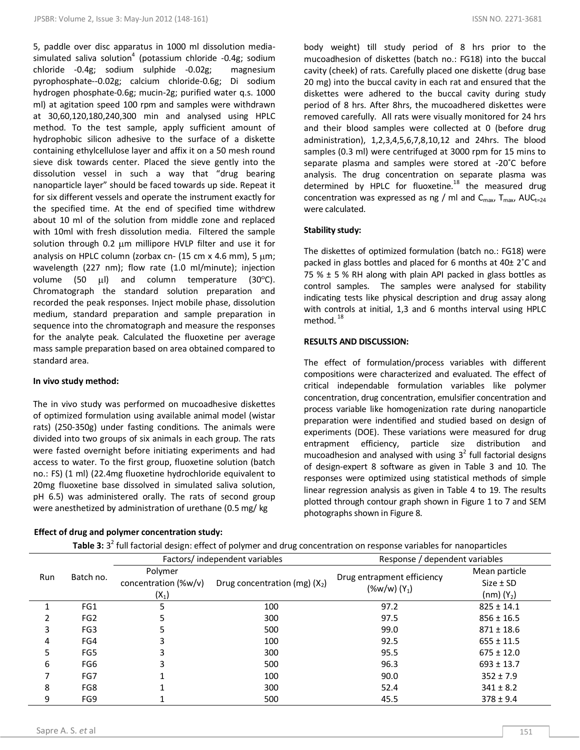5, paddle over disc apparatus in 1000 ml dissolution mediasimulated saliva solution<sup>4</sup> (potassium chloride -0.4g; sodium chloride -0.4g; sodium sulphide -0.02g; magnesium pyrophosphate--0.02g; calcium chloride-0.6g; Di sodium hydrogen phosphate-0.6g; mucin-2g; purified water q.s. 1000 ml) at agitation speed 100 rpm and samples were withdrawn at 30,60,120,180,240,300 min and analysed using HPLC method. To the test sample, apply sufficient amount of hydrophobic silicon adhesive to the surface of a diskette containing ethylcellulose layer and affix it on a 50 mesh round sieve disk towards center. Placed the sieve gently into the dissolution vessel in such a way that "drug bearing nanoparticle layer" should be faced towards up side. Repeat it for six different vessels and operate the instrument exactly for the specified time. At the end of specified time withdrew about 10 ml of the solution from middle zone and replaced with 10ml with fresh dissolution media. Filtered the sample solution through 0.2  $\mu$ m millipore HVLP filter and use it for analysis on HPLC column (zorbax cn-  $(15 \text{ cm} \times 4.6 \text{ mm})$ , 5  $\mu$ m; wavelength (227 nm); flow rate (1.0 ml/minute); injection volume (50  $\mu$ I) and column temperature (30 $^{\circ}$ C). Chromatograph the standard solution preparation and recorded the peak responses. Inject mobile phase, dissolution medium, standard preparation and sample preparation in sequence into the chromatograph and measure the responses for the analyte peak. Calculated the fluoxetine per average mass sample preparation based on area obtained compared to standard area.

### **In vivo study method:**

The in vivo study was performed on mucoadhesive diskettes of optimized formulation using available animal model (wistar rats) (250-350g) under fasting conditions. The animals were divided into two groups of six animals in each group. The rats were fasted overnight before initiating experiments and had access to water. To the first group, fluoxetine solution (batch no.: FS) (1 ml) (22.4mg fluoxetine hydrochloride equivalent to 20mg fluoxetine base dissolved in simulated saliva solution, pH 6.5) was administered orally. The rats of second group were anesthetized by administration of urethane (0.5 mg/ kg

### **Effect of drug and polymer concentration study:**

body weight) till study period of 8 hrs prior to the mucoadhesion of diskettes (batch no.: FG18) into the buccal cavity (cheek) of rats. Carefully placed one diskette (drug base 20 mg) into the buccal cavity in each rat and ensured that the diskettes were adhered to the buccal cavity during study period of 8 hrs. After 8hrs, the mucoadhered diskettes were removed carefully. All rats were visually monitored for 24 hrs and their blood samples were collected at 0 (before drug administration), 1,2,3,4,5,6,7,8,10,12 and 24hrs. The blood samples (0.3 ml) were centrifuged at 3000 rpm for 15 mins to separate plasma and samples were stored at -20˚C before analysis. The drug concentration on separate plasma was determined by HPLC for fluoxetine. $18$  the measured drug concentration was expressed as ng / ml and  $C_{\text{max}}$ ,  $T_{\text{max}}$ , AU $C_{\text{t}=24}$ were calculated.

### **Stability study:**

The diskettes of optimized formulation (batch no.: FG18) were packed in glass bottles and placed for 6 months at 40± 2˚C and 75 %  $\pm$  5 % RH along with plain API packed in glass bottles as control samples. The samples were analysed for stability indicating tests like physical description and drug assay along with controls at initial, 1,3 and 6 months interval using HPLC method.<sup>18</sup>

### **RESULTS AND DISCUSSION:**

The effect of formulation/process variables with different compositions were characterized and evaluated. The effect of critical independable formulation variables like polymer concentration, drug concentration, emulsifier concentration and process variable like homogenization rate during nanoparticle preparation were indentified and studied based on design of experiments (DOE). These variations were measured for drug entrapment efficiency, particle size distribution and mucoadhesion and analysed with using  $3^2$  full factorial designs of design-expert 8 software as given in Table 3 and 10. The responses were optimized using statistical methods of simple linear regression analysis as given in Table 4 to 19. The results plotted through contour graph shown in Figure 1 to 7 and SEM photographs shown in Figure 8.

|     |                 |                                            | Factors/ independent variables  | Response / dependent variables               |                                                          |
|-----|-----------------|--------------------------------------------|---------------------------------|----------------------------------------------|----------------------------------------------------------|
| Run | Batch no.       | Polymer<br>concentration (%w/v)<br>$(X_1)$ | Drug concentration (mg) $(X_2)$ | Drug entrapment efficiency<br>$(\%w/w)(Y_1)$ | Mean particle<br>$Size \pm SD$<br>(nm) (Y <sub>2</sub> ) |
|     | FG1             |                                            | 100                             | 97.2                                         | $825 \pm 14.1$                                           |
|     | FG <sub>2</sub> |                                            | 300                             | 97.5                                         | $856 \pm 16.5$                                           |
| 3   | FG <sub>3</sub> |                                            | 500                             | 99.0                                         | $871 \pm 18.6$                                           |
| 4   | FG4             |                                            | 100                             | 92.5                                         | $655 \pm 11.5$                                           |
| 5   | FG5             |                                            | 300                             | 95.5                                         | $675 \pm 12.0$                                           |
| 6   | FG6             |                                            | 500                             | 96.3                                         | $693 \pm 13.7$                                           |
|     | FG7             |                                            | 100                             | 90.0                                         | $352 \pm 7.9$                                            |
| 8   | FG8             |                                            | 300                             | 52.4                                         | $341 \pm 8.2$                                            |
| 9   | FG9             |                                            | 500                             | 45.5                                         | $378 \pm 9.4$                                            |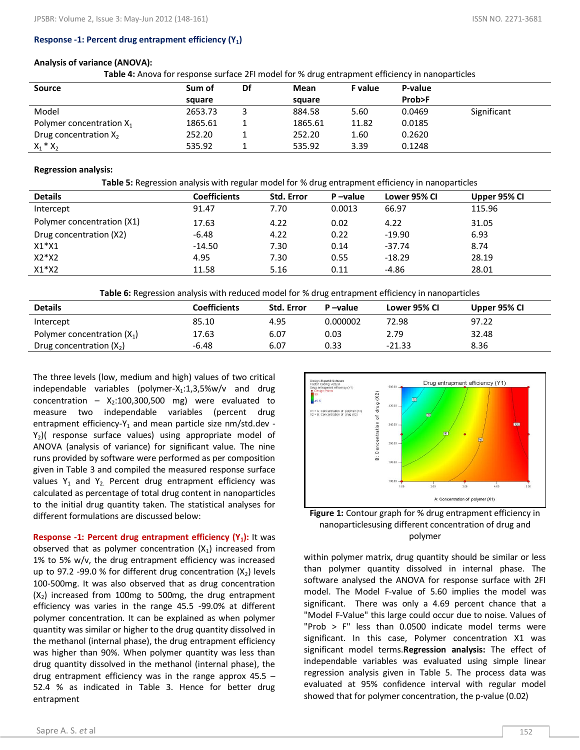### **Response -1: Percent drug entrapment efficiency (Y1)**

### **Analysis of variance (ANOVA):**

**Table 4:** Anova for response surface 2FI model for % drug entrapment efficiency in nanoparticles

| <b>Source</b>               | Sum of  | Df | Mean    | <b>F</b> value | P-value |             |
|-----------------------------|---------|----|---------|----------------|---------|-------------|
|                             | square  |    | square  |                | Prob>F  |             |
| Model                       | 2653.73 |    | 884.58  | 5.60           | 0.0469  | Significant |
| Polymer concentration $X_1$ | 1865.61 |    | 1865.61 | 11.82          | 0.0185  |             |
| Drug concentration $X_2$    | 252.20  |    | 252.20  | 1.60           | 0.2620  |             |
| $X_1 * X_2$                 | 535.92  |    | 535.92  | 3.39           | 0.1248  |             |

### **Regression analysis:**

**Table 5:** Regression analysis with regular model for % drug entrapment efficiency in nanoparticles

| <b>Details</b>             | <b>Coefficients</b> | <b>Std. Error</b> | P-value | Lower 95% CI | Upper 95% CI |
|----------------------------|---------------------|-------------------|---------|--------------|--------------|
| Intercept                  | 91.47               | 7.70              | 0.0013  | 66.97        | 115.96       |
| Polymer concentration (X1) | 17.63               | 4.22              | 0.02    | 4.22         | 31.05        |
| Drug concentration (X2)    | $-6.48$             | 4.22              | 0.22    | $-19.90$     | 6.93         |
| $X1^*X1$                   | $-14.50$            | 7.30              | 0.14    | $-37.74$     | 8.74         |
| $X2^*X2$                   | 4.95                | 7.30              | 0.55    | $-18.29$     | 28.19        |
| $X1^*X2$                   | 11.58               | 5.16              | 0.11    | $-4.86$      | 28.01        |

**Table 6:** Regression analysis with reduced model for % drug entrapment efficiency in nanoparticles

| <b>Details</b>                | <b>Coefficients</b> | <b>Std. Error</b> | P-value  | Lower 95% CI | Upper 95% CI |
|-------------------------------|---------------------|-------------------|----------|--------------|--------------|
| Intercept                     | 85.10               | 4.95              | 0.000002 | 72.98        | 97.22        |
| Polymer concentration $(X_1)$ | 17.63               | 6.07              | 0.03     | 2.79         | 32.48        |
| Drug concentration $(X_2)$    | $-6.48$             | 6.07              | 0.33     | $-21.33$     | 8.36         |

The three levels (low, medium and high) values of two critical independable variables (polymer- $X_1:1,3,5\%$ w/v and drug concentration –  $X_2:100,300,500$  mg) were evaluated to measure two independable variables (percent drug entrapment efficiency- $Y_1$  and mean particle size nm/std.dev - $Y_2$ )( response surface values) using appropriate model of ANOVA (analysis of variance) for significant value. The nine runs provided by software were performed as per composition given in Table 3 and compiled the measured response surface values  $Y_1$  and  $Y_2$ . Percent drug entrapment efficiency was calculated as percentage of total drug content in nanoparticles to the initial drug quantity taken. The statistical analyses for different formulations are discussed below:

**Response -1: Percent drug entrapment efficiency (Y<sub>1</sub>):** It was observed that as polymer concentration  $(X_1)$  increased from 1% to 5% w/v, the drug entrapment efficiency was increased up to 97.2 -99.0 % for different drug concentration  $(X_2)$  levels 100-500mg. It was also observed that as drug concentration  $(X<sub>2</sub>)$  increased from 100mg to 500mg, the drug entrapment efficiency was varies in the range 45.5 -99.0% at different polymer concentration. It can be explained as when polymer quantity was similar or higher to the drug quantity dissolved in the methanol (internal phase), the drug entrapment efficiency was higher than 90%. When polymer quantity was less than drug quantity dissolved in the methanol (internal phase), the drug entrapment efficiency was in the range approx 45.5 – 52.4 % as indicated in Table 3. Hence for better drug entrapment





within polymer matrix, drug quantity should be similar or less than polymer quantity dissolved in internal phase. The software analysed the ANOVA for response surface with 2FI model. The Model F-value of 5.60 implies the model was significant. There was only a 4.69 percent chance that a "Model F-Value" this large could occur due to noise. Values of "Prob > F" less than 0.0500 indicate model terms were significant. In this case, Polymer concentration X1 was significant model terms.**Regression analysis:** The effect of independable variables was evaluated using simple linear regression analysis given in Table 5. The process data was evaluated at 95% confidence interval with regular model showed that for polymer concentration, the p-value (0.02)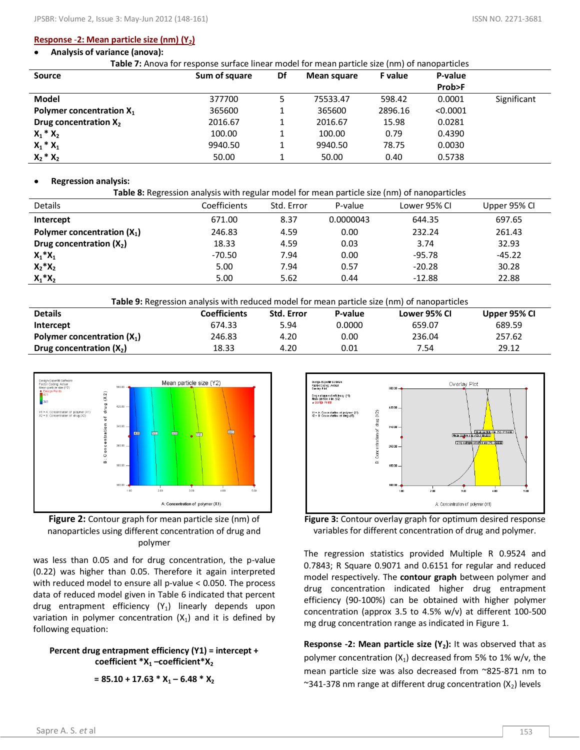### **Response** -**2: Mean particle size (nm) (Y2)**

#### **Analysis of variance (anova):**  $\bullet$

**Table 7:** Anova for response surface linear model for mean particle size (nm) of nanoparticles

| Source                      | Sum of square | Df | Mean square | <b>F</b> value | P-value  |             |
|-----------------------------|---------------|----|-------------|----------------|----------|-------------|
|                             |               |    |             |                | Prob>F   |             |
| Model                       | 377700        |    | 75533.47    | 598.42         | 0.0001   | Significant |
| Polymer concentration $X_1$ | 365600        |    | 365600      | 2896.16        | < 0.0001 |             |
| Drug concentration $X_2$    | 2016.67       |    | 2016.67     | 15.98          | 0.0281   |             |
| $X_1 * X_2$                 | 100.00        |    | 100.00      | 0.79           | 0.4390   |             |
| $X_1 * X_1$                 | 9940.50       |    | 9940.50     | 78.75          | 0.0030   |             |
| $X_2 * X_2$                 | 50.00         |    | 50.00       | 0.40           | 0.5738   |             |

### **Regression analysis:**

| Table 8: Regression analysis with regular model for mean particle size (nm) of nanoparticles |              |            |           |              |              |  |  |  |  |  |
|----------------------------------------------------------------------------------------------|--------------|------------|-----------|--------------|--------------|--|--|--|--|--|
| <b>Details</b>                                                                               | Coefficients | Std. Error | P-value   | Lower 95% CI | Upper 95% Cl |  |  |  |  |  |
| Intercept                                                                                    | 671.00       | 8.37       | 0.0000043 | 644.35       | 697.65       |  |  |  |  |  |
| Polymer concentration $(X_1)$                                                                | 246.83       | 4.59       | 0.00      | 232.24       | 261.43       |  |  |  |  |  |
| Drug concentration $(X_2)$                                                                   | 18.33        | 4.59       | 0.03      | 3.74         | 32.93        |  |  |  |  |  |
| $X_1^*X_1$                                                                                   | -70.50       | 7.94       | 0.00      | $-95.78$     | $-45.22$     |  |  |  |  |  |
| $X_2^*X_2$                                                                                   | 5.00         | 7.94       | 0.57      | $-20.28$     | 30.28        |  |  |  |  |  |
| $X_1^*X_2$                                                                                   | 5.00         | 5.62       | 0.44      | $-12.88$     | 22.88        |  |  |  |  |  |

| <b>Table 9:</b> Regression analysis with reduced model for mean particle size (nm) of nanoparticles   |        |      |        |        |        |  |  |  |  |
|-------------------------------------------------------------------------------------------------------|--------|------|--------|--------|--------|--|--|--|--|
| <b>Details</b><br><b>Coefficients</b><br><b>Std. Error</b><br>P-value<br>Upper 95% CI<br>Lower 95% CI |        |      |        |        |        |  |  |  |  |
| Intercept                                                                                             | 674.33 | 5.94 | 0.0000 | 659.07 | 689.59 |  |  |  |  |
| Polymer concentration $(X_1)$                                                                         | 246.83 | 4.20 | 0.00   | 236.04 | 257.62 |  |  |  |  |
| Drug concentration $(X_2)$                                                                            | 18.33  | 4.20 | 0.01   | 7.54   | 29.12  |  |  |  |  |





was less than 0.05 and for drug concentration, the p-value (0.22) was higher than 0.05. Therefore it again interpreted with reduced model to ensure all p-value < 0.050. The process data of reduced model given in Table 6 indicated that percent drug entrapment efficiency  $(Y_1)$  linearly depends upon variation in polymer concentration  $(X_1)$  and it is defined by following equation:

### **Percent drug entrapment efficiency (Y1) = intercept + coefficient \*X<sup>1</sup> –coefficient\*X<sup>2</sup>**

 $= 85.10 + 17.63 * X_1 - 6.48 * X_2$ 



**Figure 3:** Contour overlay graph for optimum desired response variables for different concentration of drug and polymer.

The regression statistics provided Multiple R 0.9524 and 0.7843; R Square 0.9071 and 0.6151 for regular and reduced model respectively. The **contour graph** between polymer and drug concentration indicated higher drug entrapment efficiency (90-100%) can be obtained with higher polymer concentration (approx 3.5 to 4.5% w/v) at different 100-500 mg drug concentration range as indicated in Figure 1.

**Response -2: Mean particle size (Y2):** It was observed that as polymer concentration  $(X_1)$  decreased from 5% to 1% w/v, the mean particle size was also decreased from ~825-871 nm to  $\sim$ 341-378 nm range at different drug concentration (X<sub>2</sub>) levels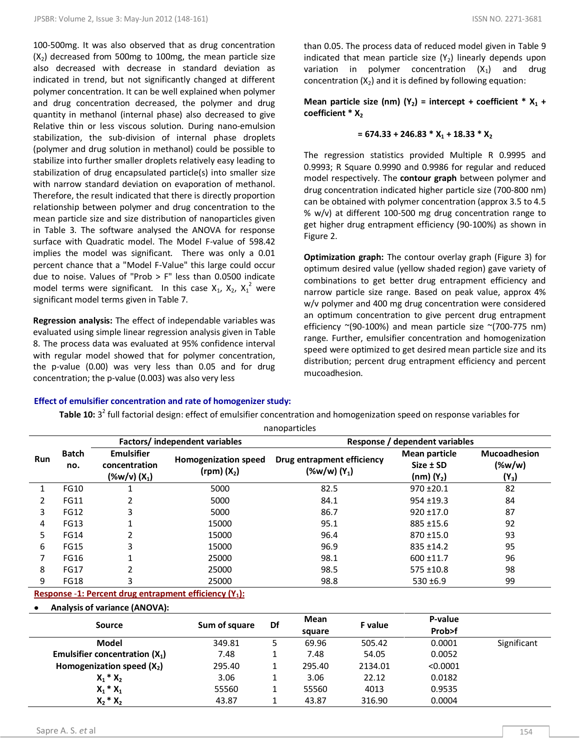100-500mg. It was also observed that as drug concentration  $(X_2)$  decreased from 500mg to 100mg, the mean particle size also decreased with decrease in standard deviation as indicated in trend, but not significantly changed at different polymer concentration. It can be well explained when polymer and drug concentration decreased, the polymer and drug quantity in methanol (internal phase) also decreased to give Relative thin or less viscous solution. During nano-emulsion stabilization, the sub-division of internal phase droplets (polymer and drug solution in methanol) could be possible to stabilize into further smaller droplets relatively easy leading to stabilization of drug encapsulated particle(s) into smaller size with narrow standard deviation on evaporation of methanol. Therefore, the result indicated that there is directly proportion relationship between polymer and drug concentration to the mean particle size and size distribution of nanoparticles given in Table 3. The software analysed the ANOVA for response surface with Quadratic model. The Model F-value of 598.42 implies the model was significant. There was only a 0.01 percent chance that a "Model F-Value" this large could occur due to noise. Values of "Prob > F" less than 0.0500 indicate model terms were significant. In this case  $X_1$ ,  $X_2$ ,  $X_1^2$  were significant model terms given in Table 7.

**Regression analysis:** The effect of independable variables was evaluated using simple linear regression analysis given in Table 8. The process data was evaluated at 95% confidence interval with regular model showed that for polymer concentration, the p-value (0.00) was very less than 0.05 and for drug concentration; the p-value (0.003) was also very less

than 0.05. The process data of reduced model given in Table 9 indicated that mean particle size  $(Y_2)$  linearly depends upon variation in polymer concentration  $(X_1)$  and drug concentration  $(X_2)$  and it is defined by following equation:

**Mean particle size (nm) (Y<sub>2</sub>) = intercept + coefficient \***  $X_1$  **+ coefficient \* X<sub>2</sub>** 

### $= 674.33 + 246.83 * X_1 + 18.33 * X_2$

The regression statistics provided Multiple R 0.9995 and 0.9993; R Square 0.9990 and 0.9986 for regular and reduced model respectively. The **contour graph** between polymer and drug concentration indicated higher particle size (700-800 nm) can be obtained with polymer concentration (approx 3.5 to 4.5 % w/v) at different 100-500 mg drug concentration range to get higher drug entrapment efficiency (90-100%) as shown in Figure 2.

**Optimization graph:** The contour overlay graph (Figure 3) for optimum desired value (yellow shaded region) gave variety of combinations to get better drug entrapment efficiency and narrow particle size range. Based on peak value, approx 4% w/v polymer and 400 mg drug concentration were considered an optimum concentration to give percent drug entrapment efficiency  $\sim$ (90-100%) and mean particle size  $\sim$ (700-775 nm) range. Further, emulsifier concentration and homogenization speed were optimized to get desired mean particle size and its distribution; percent drug entrapment efficiency and percent mucoadhesion.

### **Effect of emulsifier concentration and rate of homogenizer study:**

**Table 10:** 3<sup>2</sup> full factorial design: effect of emulsifier concentration and homogenization speed on response variables for

nanoparticles

|               |                     |                                                      | Factors/independent variables                  | Response / dependent variables               |                                                  |                                             |  |  |  |
|---------------|---------------------|------------------------------------------------------|------------------------------------------------|----------------------------------------------|--------------------------------------------------|---------------------------------------------|--|--|--|
| Run           | <b>Batch</b><br>no. | <b>Emulsifier</b><br>concentration<br>$(\%w/v)(X_1)$ | <b>Homogenization speed</b><br>$(rpm)$ $(X_2)$ | Drug entrapment efficiency<br>$(\%w/w)(Y_1)$ | Mean particle<br>$Size \pm SD$<br>$(nm)$ $(Y_2)$ | <b>Mucoadhesion</b><br>$(\%w/w)$<br>$(Y_3)$ |  |  |  |
|               | <b>FG10</b>         |                                                      | 5000                                           | 82.5                                         | $970 + 20.1$                                     | 82                                          |  |  |  |
| $\mathcal{P}$ | <b>FG11</b>         |                                                      | 5000                                           | 84.1                                         | $954 + 19.3$                                     | 84                                          |  |  |  |
| 3             | <b>FG12</b>         | 3                                                    | 5000                                           | 86.7                                         | $920 + 17.0$                                     | 87                                          |  |  |  |
| 4             | <b>FG13</b>         | 1                                                    | 15000                                          | 95.1                                         | 885 ±15.6                                        | 92                                          |  |  |  |
| 5.            | <b>FG14</b>         | 2                                                    | 15000                                          | 96.4                                         | $870 + 15.0$                                     | 93                                          |  |  |  |
| 6             | <b>FG15</b>         | 3                                                    | 15000                                          | 96.9                                         | $835 + 14.2$                                     | 95                                          |  |  |  |
|               | <b>FG16</b>         |                                                      | 25000                                          | 98.1                                         | $600 + 11.7$                                     | 96                                          |  |  |  |
| 8             | <b>FG17</b>         | ำ                                                    | 25000                                          | 98.5                                         | $575 + 10.8$                                     | 98                                          |  |  |  |
| 9             | <b>FG18</b>         | 3                                                    | 25000                                          | 98.8                                         | $530 + 6.9$                                      | 99                                          |  |  |  |

## **Response** -**1: Percent drug entrapment efficiency (Y1):**

**Analysis of variance (ANOVA):** 

| Source                           | Sum of square | Df | Mean   | <b>F</b> value | P-value  |             |
|----------------------------------|---------------|----|--------|----------------|----------|-------------|
|                                  |               |    | square |                | Prob>f   |             |
| Model                            | 349.81        |    | 69.96  | 505.42         | 0.0001   | Significant |
| Emulsifier concentration $(X_1)$ | 7.48          |    | 7.48   | 54.05          | 0.0052   |             |
| Homogenization speed $(X_2)$     | 295.40        |    | 295.40 | 2134.01        | < 0.0001 |             |
| $X_1 * X_2$                      | 3.06          |    | 3.06   | 22.12          | 0.0182   |             |
| $X_1 * X_1$                      | 55560         |    | 55560  | 4013           | 0.9535   |             |
| $X_2 * X_2$                      | 43.87         |    | 43.87  | 316.90         | 0.0004   |             |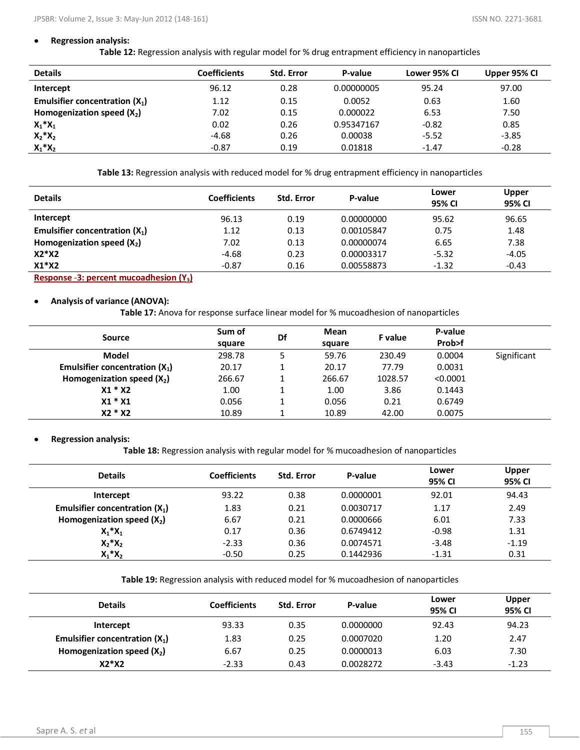### **Regression analysis:**

**Table 12:** Regression analysis with regular model for % drug entrapment efficiency in nanoparticles

| <b>Details</b>                   | <b>Coefficients</b> | <b>Std. Error</b> | P-value    | Lower 95% CI | Upper 95% CI |
|----------------------------------|---------------------|-------------------|------------|--------------|--------------|
| Intercept                        | 96.12               | 0.28              | 0.00000005 | 95.24        | 97.00        |
| Emulsifier concentration $(X_1)$ | 1.12                | 0.15              | 0.0052     | 0.63         | 1.60         |
| Homogenization speed $(X_2)$     | 7.02                | 0.15              | 0.000022   | 6.53         | 7.50         |
| $X_1^*X_1$                       | 0.02                | 0.26              | 0.95347167 | $-0.82$      | 0.85         |
| $X_2^*X_2$                       | $-4.68$             | 0.26              | 0.00038    | $-5.52$      | $-3.85$      |
| $X_1^*X_2$                       | $-0.87$             | 0.19              | 0.01818    | $-1.47$      | $-0.28$      |

**Table 13:** Regression analysis with reduced model for % drug entrapment efficiency in nanoparticles

| <b>Details</b>                        | <b>Coefficients</b> | <b>Std. Error</b> | P-value    | Lower<br>95% CI | Upper<br>95% CI |
|---------------------------------------|---------------------|-------------------|------------|-----------------|-----------------|
| Intercept                             | 96.13               | 0.19              | 0.00000000 | 95.62           | 96.65           |
| Emulsifier concentration $(X_1)$      | 1.12                | 0.13              | 0.00105847 | 0.75            | 1.48            |
| Homogenization speed $(X_2)$          | 7.02                | 0.13              | 0.00000074 | 6.65            | 7.38            |
| $X2*X2$                               | $-4.68$             | 0.23              | 0.00003317 | $-5.32$         | $-4.05$         |
| $X1*X2$                               | $-0.87$             | 0.16              | 0.00558873 | $-1.32$         | $-0.43$         |
| Desperse 2. percent princed beden IV. |                     |                   |            |                 |                 |

**Response** -**3: percent mucoadhesion (Y3)**

### **Analysis of variance (ANOVA):**

**Table 17:** Anova for response surface linear model for % mucoadhesion of nanoparticles

|                                  | Sum of | Df | Mean   |         | P-value  |             |
|----------------------------------|--------|----|--------|---------|----------|-------------|
| Source                           | square |    | square | F value | Prob>f   |             |
| Model                            | 298.78 |    | 59.76  | 230.49  | 0.0004   | Significant |
| Emulsifier concentration $(X_1)$ | 20.17  |    | 20.17  | 77.79   | 0.0031   |             |
| Homogenization speed $(X_2)$     | 266.67 |    | 266.67 | 1028.57 | < 0.0001 |             |
| $X1 * X2$                        | 1.00   |    | 1.00   | 3.86    | 0.1443   |             |
| $X1 * X1$                        | 0.056  |    | 0.056  | 0.21    | 0.6749   |             |
| X2 * X2                          | 10.89  |    | 10.89  | 42.00   | 0.0075   |             |

### **Regression analysis:**

**Table 18:** Regression analysis with regular model for % mucoadhesion of nanoparticles

| <b>Details</b>                   | <b>Coefficients</b> | <b>Std. Error</b> | P-value   | Lower<br>95% CI | <b>Upper</b><br>95% CI |
|----------------------------------|---------------------|-------------------|-----------|-----------------|------------------------|
| Intercept                        | 93.22               | 0.38              | 0.0000001 | 92.01           | 94.43                  |
| Emulsifier concentration $(X_1)$ | 1.83                | 0.21              | 0.0030717 | 1.17            | 2.49                   |
| Homogenization speed $(X_2)$     | 6.67                | 0.21              | 0.0000666 | 6.01            | 7.33                   |
| $X_1^*X_1$                       | 0.17                | 0.36              | 0.6749412 | $-0.98$         | 1.31                   |
| $X_2^*X_2$                       | $-2.33$             | 0.36              | 0.0074571 | $-3.48$         | $-1.19$                |
| $X_1^*X_2$                       | $-0.50$             | 0.25              | 0.1442936 | $-1.31$         | 0.31                   |

**Table 19:** Regression analysis with reduced model for % mucoadhesion of nanoparticles

| <b>Details</b>                   | <b>Coefficients</b> | <b>Std. Error</b> | P-value   | Lower<br>95% CI | Upper<br>95% CI |
|----------------------------------|---------------------|-------------------|-----------|-----------------|-----------------|
| Intercept                        | 93.33               | 0.35              | 0.0000000 | 92.43           | 94.23           |
| Emulsifier concentration $(X_1)$ | 1.83                | 0.25              | 0.0007020 | 1.20            | 2.47            |
| Homogenization speed $(X_2)$     | 6.67                | 0.25              | 0.0000013 | 6.03            | 7.30            |
| $X2*X2$                          | $-2.33$             | 0.43              | 0.0028272 | $-3.43$         | $-1.23$         |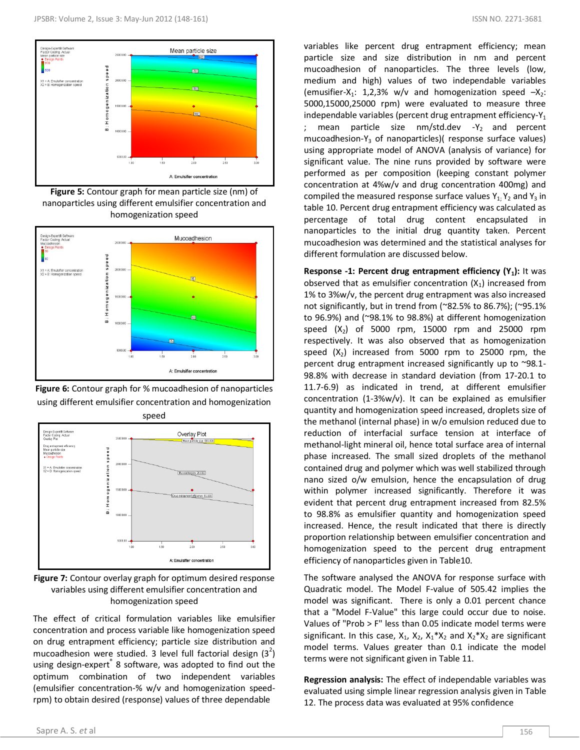

**Figure 5:** Contour graph for mean particle size (nm) of nanoparticles using different emulsifier concentration and homogenization speed



**Figure 6:** Contour graph for % mucoadhesion of nanoparticles using different emulsifier concentration and homogenization



**Figure 7:** Contour overlay graph for optimum desired response variables using different emulsifier concentration and homogenization speed

The effect of critical formulation variables like emulsifier concentration and process variable like homogenization speed on drug entrapment efficiency; particle size distribution and mucoadhesion were studied. 3 level full factorial design  $(3^2)$ using design-expert<sup>®</sup> 8 software, was adopted to find out the optimum combination of two independent variables (emulsifier concentration-% w/v and homogenization speedrpm) to obtain desired (response) values of three dependable

variables like percent drug entrapment efficiency; mean particle size and size distribution in nm and percent mucoadhesion of nanoparticles. The three levels (low, medium and high) values of two independable variables (emusifier-X<sub>1</sub>: 1,2,3% w/v and homogenization speed  $-X_2$ : 5000,15000,25000 rpm) were evaluated to measure three independable variables (percent drug entrapment efficiency- $Y_1$ ; mean particle size  $nm/std.dev -Y<sub>2</sub>$  and percent mucoadhesion-Y<sub>3</sub> of nanoparticles)( response surface values) using appropriate model of ANOVA (analysis of variance) for significant value. The nine runs provided by software were performed as per composition (keeping constant polymer concentration at 4%w/v and drug concentration 400mg) and compiled the measured response surface values  $Y_{1}$ ;  $Y_2$  and  $Y_3$  in table 10. Percent drug entrapment efficiency was calculated as percentage of total drug content encapsulated in nanoparticles to the initial drug quantity taken. Percent mucoadhesion was determined and the statistical analyses for different formulation are discussed below.

**Response -1: Percent drug entrapment efficiency (Y<sub>1</sub>):** It was observed that as emulsifier concentration  $(X_1)$  increased from 1% to 3%w/v, the percent drug entrapment was also increased not significantly, but in trend from (~82.5% to 86.7%); (~95.1% to 96.9%) and (~98.1% to 98.8%) at different homogenization speed  $(X_2)$  of 5000 rpm, 15000 rpm and 25000 rpm respectively. It was also observed that as homogenization speed  $(X_2)$  increased from 5000 rpm to 25000 rpm, the percent drug entrapment increased significantly up to ~98.1- 98.8% with decrease in standard deviation (from 17-20.1 to 11.7-6.9) as indicated in trend, at different emulsifier concentration (1-3%w/v). It can be explained as emulsifier quantity and homogenization speed increased, droplets size of the methanol (internal phase) in w/o emulsion reduced due to reduction of interfacial surface tension at interface of methanol-light mineral oil, hence total surface area of internal phase increased. The small sized droplets of the methanol contained drug and polymer which was well stabilized through nano sized o/w emulsion, hence the encapsulation of drug within polymer increased significantly. Therefore it was evident that percent drug entrapment increased from 82.5% to 98.8% as emulsifier quantity and homogenization speed increased. Hence, the result indicated that there is directly proportion relationship between emulsifier concentration and homogenization speed to the percent drug entrapment efficiency of nanoparticles given in Table10.

The software analysed the ANOVA for response surface with Quadratic model. The Model F-value of 505.42 implies the model was significant. There is only a 0.01 percent chance that a "Model F-Value" this large could occur due to noise. Values of "Prob > F" less than 0.05 indicate model terms were significant. In this case,  $X_1$ ,  $X_2$ ,  $X_1 * X_2$  and  $X_2 * X_2$  are significant model terms. Values greater than 0.1 indicate the model terms were not significant given in Table 11.

**Regression analysis:** The effect of independable variables was evaluated using simple linear regression analysis given in Table 12. The process data was evaluated at 95% confidence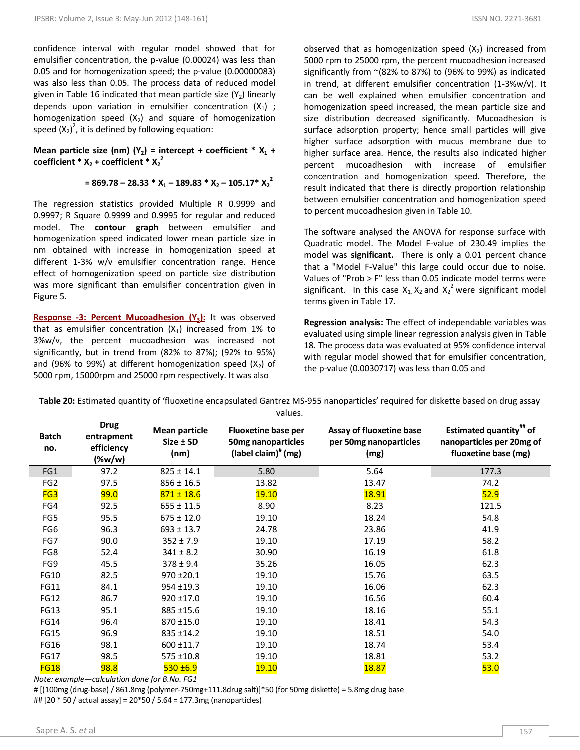confidence interval with regular model showed that for emulsifier concentration, the p-value (0.00024) was less than 0.05 and for homogenization speed; the p-value (0.00000083) was also less than 0.05. The process data of reduced model given in Table 16 indicated that mean particle size  $(Y_2)$  linearly depends upon variation in emulsifier concentration  $(X_1)$ ; homogenization speed  $(X_2)$  and square of homogenization speed  $(X_2)^2$ , it is defined by following equation:

**Mean particle size (nm) (Y<sub>2</sub>) = intercept + coefficient \***  $X_1$  **+ coefficient \***  $X_2$  + coefficient \*  $X_2$ <sup>2</sup>

$$
= 869.78 - 28.33 * X_1 - 189.83 * X_2 - 105.17 * X_2^2
$$

The regression statistics provided Multiple R 0.9999 and 0.9997; R Square 0.9999 and 0.9995 for regular and reduced model. The **contour graph** between emulsifier and homogenization speed indicated lower mean particle size in nm obtained with increase in homogenization speed at different 1-3% w/v emulsifier concentration range. Hence effect of homogenization speed on particle size distribution was more significant than emulsifier concentration given in Figure 5.

**Response -3: Percent Mucoadhesion (Y3):** It was observed that as emulsifier concentration  $(X_1)$  increased from 1% to 3%w/v, the percent mucoadhesion was increased not significantly, but in trend from (82% to 87%); (92% to 95%) and (96% to 99%) at different homogenization speed  $(X_2)$  of 5000 rpm, 15000rpm and 25000 rpm respectively. It was also

observed that as homogenization speed  $(X_2)$  increased from 5000 rpm to 25000 rpm, the percent mucoadhesion increased significantly from ~(82% to 87%) to (96% to 99%) as indicated in trend, at different emulsifier concentration (1-3%w/v). It can be well explained when emulsifier concentration and homogenization speed increased, the mean particle size and size distribution decreased significantly. Mucoadhesion is surface adsorption property; hence small particles will give higher surface adsorption with mucus membrane due to higher surface area. Hence, the results also indicated higher percent mucoadhesion with increase of emulsifier concentration and homogenization speed. Therefore, the result indicated that there is directly proportion relationship between emulsifier concentration and homogenization speed to percent mucoadhesion given in Table 10.

The software analysed the ANOVA for response surface with Quadratic model. The Model F-value of 230.49 implies the model was **significant.** There is only a 0.01 percent chance that a "Model F-Value" this large could occur due to noise. Values of "Prob > F" less than 0.05 indicate model terms were significant. In this case  $X_1, X_2$  and  $X_2^2$  were significant model terms given in Table 17.

**Regression analysis:** The effect of independable variables was evaluated using simple linear regression analysis given in Table 18. The process data was evaluated at 95% confidence interval with regular model showed that for emulsifier concentration, the p-value (0.0030717) was less than 0.05 and

| Table 20: Estimated quantity of 'fluoxetine encapsulated Gantrez MS-955 nanoparticles' required for diskette based on drug assay |  |  |
|----------------------------------------------------------------------------------------------------------------------------------|--|--|
|                                                                                                                                  |  |  |

|                     |                                                      |                                           | values.                                                                    |                                                            |                                                                                                 |
|---------------------|------------------------------------------------------|-------------------------------------------|----------------------------------------------------------------------------|------------------------------------------------------------|-------------------------------------------------------------------------------------------------|
| <b>Batch</b><br>no. | <b>Drug</b><br>entrapment<br>efficiency<br>$(\%w/w)$ | <b>Mean particle</b><br>Size ± SD<br>(nm) | <b>Fluoxetine base per</b><br>50mg nanoparticles<br>(label claim) $*$ (mg) | Assay of fluoxetine base<br>per 50mg nanoparticles<br>(mg) | <b>Estimated quantity</b> <sup>##</sup> of<br>nanoparticles per 20mg of<br>fluoxetine base (mg) |
| FG1                 | 97.2                                                 | $825 \pm 14.1$                            | 5.80                                                                       | 5.64                                                       | 177.3                                                                                           |
| FG <sub>2</sub>     | 97.5                                                 | $856 \pm 16.5$                            | 13.82                                                                      | 13.47                                                      | 74.2                                                                                            |
| FG3                 | <b>99.0</b>                                          | $871 \pm 18.6$                            | <b>19.10</b>                                                               | <b>18.91</b>                                               | 52.9                                                                                            |
| FG4                 | 92.5                                                 | $655 \pm 11.5$                            | 8.90                                                                       | 8.23                                                       | 121.5                                                                                           |
| FG5                 | 95.5                                                 | $675 \pm 12.0$                            | 19.10                                                                      | 18.24                                                      | 54.8                                                                                            |
| FG6                 | 96.3                                                 | $693 \pm 13.7$                            | 24.78                                                                      | 23.86                                                      | 41.9                                                                                            |
| FG7                 | 90.0                                                 | $352 \pm 7.9$                             | 19.10                                                                      | 17.19                                                      | 58.2                                                                                            |
| FG8                 | 52.4                                                 | $341 \pm 8.2$                             | 30.90                                                                      | 16.19                                                      | 61.8                                                                                            |
| FG9                 | 45.5                                                 | $378 \pm 9.4$                             | 35.26                                                                      | 16.05                                                      | 62.3                                                                                            |
| <b>FG10</b>         | 82.5                                                 | $970 \pm 20.1$                            | 19.10                                                                      | 15.76                                                      | 63.5                                                                                            |
| <b>FG11</b>         | 84.1                                                 | $954 + 19.3$                              | 19.10                                                                      | 16.06                                                      | 62.3                                                                                            |
| FG12                | 86.7                                                 | $920 \pm 17.0$                            | 19.10                                                                      | 16.56                                                      | 60.4                                                                                            |
| FG13                | 95.1                                                 | 885 ±15.6                                 | 19.10                                                                      | 18.16                                                      | 55.1                                                                                            |
| <b>FG14</b>         | 96.4                                                 | 870 ±15.0                                 | 19.10                                                                      | 18.41                                                      | 54.3                                                                                            |
| <b>FG15</b>         | 96.9                                                 | $835 \pm 14.2$                            | 19.10                                                                      | 18.51                                                      | 54.0                                                                                            |
| FG16                | 98.1                                                 | $600 + 11.7$                              | 19.10                                                                      | 18.74                                                      | 53.4                                                                                            |
| <b>FG17</b>         | 98.5                                                 | $575 \pm 10.8$                            | 19.10                                                                      | 18.81                                                      | 53.2                                                                                            |
| <b>FG18</b>         | <b>98.8</b>                                          | $530 + 6.9$                               | <b>19.10</b>                                                               | <b>18.87</b>                                               | 53.0                                                                                            |

*Note: example—calculation done for B.No. FG1*

# [(100mg (drug-base) / 861.8mg (polymer-750mg+111.8drug salt)]\*50 (for 50mg diskette) = 5.8mg drug base ## [20 \* 50 / actual assay] = 20\*50 / 5.64 = 177.3mg (nanoparticles)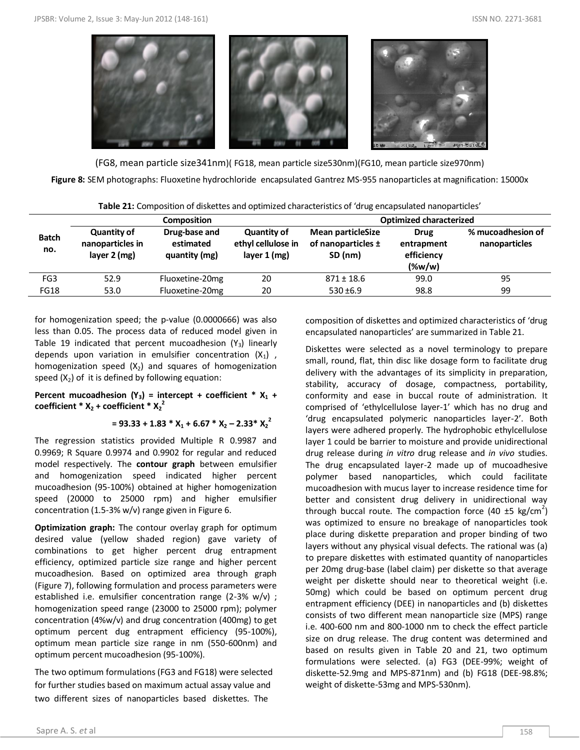

(FG8, mean particle size341nm)( FG18, mean particle size530nm)(FG10, mean particle size970nm)

**Figure 8:** SEM photographs: Fluoxetine hydrochloride encapsulated Gantrez MS-955 nanoparticles at magnification: 15000x

| Table 21: Composition of diskettes and optimized characteristics of 'drug encapsulated nanoparticles' |  |
|-------------------------------------------------------------------------------------------------------|--|
|                                                                                                       |  |

| Composition         |                                                          |                                             | <b>Optimized characterized</b>                             |                                                               |                                                      |                                    |
|---------------------|----------------------------------------------------------|---------------------------------------------|------------------------------------------------------------|---------------------------------------------------------------|------------------------------------------------------|------------------------------------|
| <b>Batch</b><br>no. | <b>Quantity of</b><br>nanoparticles in<br>layer $2$ (mg) | Drug-base and<br>estimated<br>quantity (mg) | <b>Quantity of</b><br>ethyl cellulose in<br>layer $1$ (mg) | <b>Mean particleSize</b><br>of nanoparticles $\pm$<br>SD (nm) | <b>Drug</b><br>entrapment<br>efficiency<br>$(\%w/w)$ | % mucoadhesion of<br>nanoparticles |
| FG <sub>3</sub>     | 52.9                                                     | Fluoxetine-20mg                             | 20                                                         | $871 \pm 18.6$                                                | 99.0                                                 | 95                                 |
| <b>FG18</b>         | 53.0                                                     | Fluoxetine-20mg                             | 20                                                         | $530 + 6.9$                                                   | 98.8                                                 | 99                                 |

for homogenization speed; the p-value (0.0000666) was also less than 0.05. The process data of reduced model given in Table 19 indicated that percent mucoadhesion  $(Y_3)$  linearly depends upon variation in emulsifier concentration  $(X_1)$ , homogenization speed  $(X_2)$  and squares of homogenization speed  $(X_2)$  of it is defined by following equation:

### **Percent mucoadhesion (Y<sub>3</sub>) = intercept + coefficient \***  $X_1$  **+ coefficient \***  $X_2$  + coefficient \*  $X_2^2$

### $= 93.33 + 1.83 * X_1 + 6.67 * X_2 - 2.33 * X_2^2$

The regression statistics provided Multiple R 0.9987 and 0.9969; R Square 0.9974 and 0.9902 for regular and reduced model respectively. The **contour graph** between emulsifier and homogenization speed indicated higher percent mucoadhesion (95-100%) obtained at higher homogenization speed (20000 to 25000 rpm) and higher emulsifier concentration (1.5-3% w/v) range given in Figure 6.

**Optimization graph:** The contour overlay graph for optimum desired value (yellow shaded region) gave variety of combinations to get higher percent drug entrapment efficiency, optimized particle size range and higher percent mucoadhesion. Based on optimized area through graph (Figure 7), following formulation and process parameters were established i.e. emulsifier concentration range (2-3% w/v) ; homogenization speed range (23000 to 25000 rpm); polymer concentration (4%w/v) and drug concentration (400mg) to get optimum percent dug entrapment efficiency (95-100%), optimum mean particle size range in nm (550-600nm) and optimum percent mucoadhesion (95-100%).

The two optimum formulations (FG3 and FG18) were selected for further studies based on maximum actual assay value and two different sizes of nanoparticles based diskettes. The

encapsulated nanoparticles' are summarized in Table 21.

composition of diskettes and optimized characteristics of 'drug

Diskettes were selected as a novel terminology to prepare small, round, flat, thin disc like dosage form to facilitate drug delivery with the advantages of its simplicity in preparation, stability, accuracy of dosage, compactness, portability, conformity and ease in buccal route of administration. It comprised of 'ethylcellulose layer-1' which has no drug and 'drug encapsulated polymeric nanoparticles layer-2'. Both layers were adhered properly. The hydrophobic ethylcellulose layer 1 could be barrier to moisture and provide unidirectional drug release during *in vitro* drug release and *in vivo* studies. The drug encapsulated layer-2 made up of mucoadhesive polymer based nanoparticles, which could facilitate mucoadhesion with mucus layer to increase residence time for better and consistent drug delivery in unidirectional way through buccal route. The compaction force (40  $\pm$ 5 kg/cm<sup>2</sup>) was optimized to ensure no breakage of nanoparticles took place during diskette preparation and proper binding of two layers without any physical visual defects. The rational was (a) to prepare diskettes with estimated quantity of nanoparticles per 20mg drug-base (label claim) per diskette so that average weight per diskette should near to theoretical weight (i.e. 50mg) which could be based on optimum percent drug entrapment efficiency (DEE) in nanoparticles and (b) diskettes consists of two different mean nanoparticle size (MPS) range i.e. 400-600 nm and 800-1000 nm to check the effect particle size on drug release. The drug content was determined and based on results given in Table 20 and 21, two optimum formulations were selected. (a) FG3 (DEE-99%; weight of diskette-52.9mg and MPS-871nm) and (b) FG18 (DEE-98.8%; weight of diskette-53mg and MPS-530nm).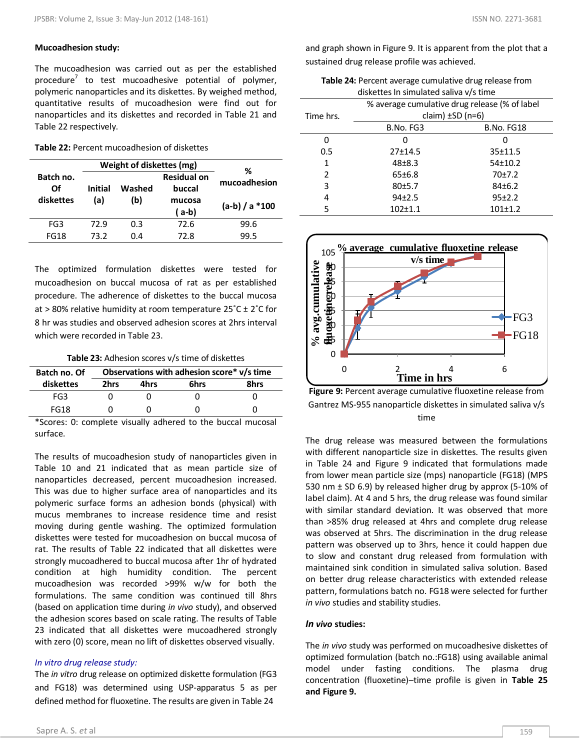### **Mucoadhesion study:**

The mucoadhesion was carried out as per the established procedure<sup>7</sup> to test mucoadhesive potential of polymer, polymeric nanoparticles and its diskettes. By weighed method, quantitative results of mucoadhesion were find out for nanoparticles and its diskettes and recorded in Table 21 and Table 22 respectively.

**Table 22:** Percent mucoadhesion of diskettes

|                 |         | Weight of diskettes (mg) |                              | ℅               |
|-----------------|---------|--------------------------|------------------------------|-----------------|
| Batch no.<br>Ωf | Initial | Washed                   | <b>Residual on</b><br>buccal | mucoadhesion    |
| diskettes       | (a)     | (b)                      | mucosa                       | $(a-b)/a * 100$ |
|                 |         |                          | (a-b)                        |                 |
| FG3             | 72.9    | 0.3                      | 72.6                         | 99.6            |
| <b>FG18</b>     | 73.2    | 0.4                      | 72.8                         | 99.5            |

The optimized formulation diskettes were tested for mucoadhesion on buccal mucosa of rat as per established procedure. The adherence of diskettes to the buccal mucosa at > 80% relative humidity at room temperature  $25^{\circ}$ C ± 2 $^{\circ}$ C for 8 hr was studies and observed adhesion scores at 2hrs interval which were recorded in Table 23.

| Table 23: Adhesion scores v/s time of diskettes |  |  |  |
|-------------------------------------------------|--|--|--|
|-------------------------------------------------|--|--|--|

| Batch no. Of | Observations with adhesion score* v/s time |      |      |  |  |  |
|--------------|--------------------------------------------|------|------|--|--|--|
| diskettes    | 2hrs                                       | 6hrs | 8hrs |  |  |  |
| FG3          |                                            |      |      |  |  |  |
| <b>FG18</b>  |                                            |      |      |  |  |  |

\*Scores: 0: complete visually adhered to the buccal mucosal surface.

The results of mucoadhesion study of nanoparticles given in Table 10 and 21 indicated that as mean particle size of nanoparticles decreased, percent mucoadhesion increased. This was due to higher surface area of nanoparticles and its polymeric surface forms an adhesion bonds (physical) with mucus membranes to increase residence time and resist moving during gentle washing. The optimized formulation diskettes were tested for mucoadhesion on buccal mucosa of rat. The results of Table 22 indicated that all diskettes were strongly mucoadhered to buccal mucosa after 1hr of hydrated condition at high humidity condition. The percent mucoadhesion was recorded >99% w/w for both the formulations. The same condition was continued till 8hrs (based on application time during *in vivo* study), and observed the adhesion scores based on scale rating. The results of Table 23 indicated that all diskettes were mucoadhered strongly with zero (0) score, mean no lift of diskettes observed visually.

### *In vitro drug release study:*

The *in vitro* drug release on optimized diskette formulation (FG3 and FG18) was determined using USP-apparatus 5 as per defined method for fluoxetine. The results are given in Table 24

and graph shown in Figure 9. It is apparent from the plot that a sustained drug release profile was achieved.

| Table 24: Percent average cumulative drug release from |
|--------------------------------------------------------|
| diskettes In simulated saliva v/s time                 |

| alshcttcs in simulated saliva v/s time |                                               |                   |  |  |  |
|----------------------------------------|-----------------------------------------------|-------------------|--|--|--|
|                                        | % average cumulative drug release (% of label |                   |  |  |  |
| Time hrs.                              | claim) $\pm$ SD (n=6)                         |                   |  |  |  |
|                                        | B.No. FG3                                     | <b>B.No. FG18</b> |  |  |  |
| Ω                                      |                                               |                   |  |  |  |
| 0.5                                    | 27±14.5                                       | 35±11.5           |  |  |  |
| 1                                      | $48 + 8.3$                                    | 54±10.2           |  |  |  |
| $\overline{2}$                         | 65±6.8                                        | 70±7.2            |  |  |  |
| 3                                      | 80±5.7                                        | 84±6.2            |  |  |  |
| 4                                      | $94+2.5$                                      | 95±2.2            |  |  |  |
| 5                                      | $102+1.1$                                     | $101 \pm 1.2$     |  |  |  |



**Figure 9:** Percent average cumulative fluoxetine release from Gantrez MS-955 nanoparticle diskettes in simulated saliva v/s time

The drug release was measured between the formulations with different nanoparticle size in diskettes. The results given in Table 24 and Figure 9 indicated that formulations made from lower mean particle size (mps) nanoparticle (FG18) (MPS 530 nm ± SD 6.9) by released higher drug by approx (5-10% of label claim). At 4 and 5 hrs, the drug release was found similar with similar standard deviation. It was observed that more than >85% drug released at 4hrs and complete drug release was observed at 5hrs. The discrimination in the drug release pattern was observed up to 3hrs, hence it could happen due to slow and constant drug released from formulation with maintained sink condition in simulated saliva solution. Based on better drug release characteristics with extended release pattern, formulations batch no. FG18 were selected for further *in vivo* studies and stability studies.

### *In vivo* **studies:**

The *in vivo* study was performed on mucoadhesive diskettes of optimized formulation (batch no.:FG18) using available animal model under fasting conditions. The plasma drug concentration (fluoxetine)–time profile is given in **Table 25 and Figure 9.**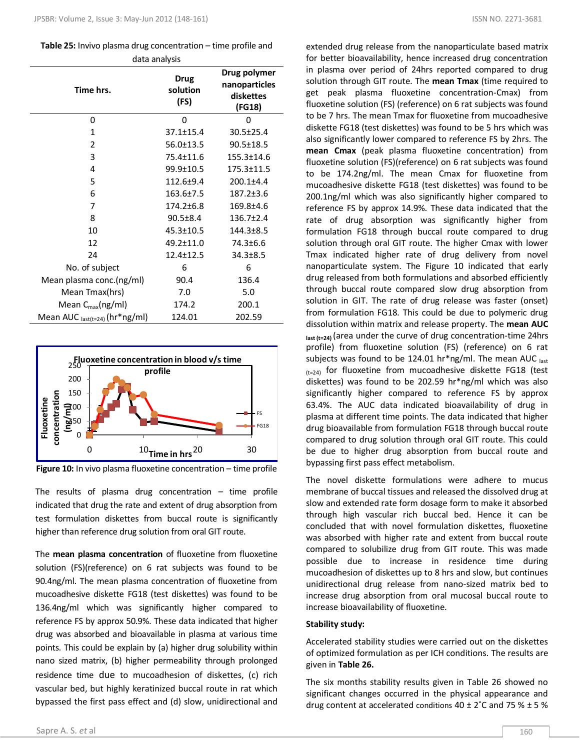| <b>Table 25:</b> Invivo plasma drug concentration $-$ time profile and |
|------------------------------------------------------------------------|
| data analysis                                                          |

| Time hrs.                           | <b>Drug</b><br>solution<br>(FS) | Drug polymer<br>nanoparticles<br>diskettes<br>(FG18) |  |
|-------------------------------------|---------------------------------|------------------------------------------------------|--|
| 0                                   | 0                               | 0                                                    |  |
| $\mathbf{1}$                        | $37.1 \pm 15.4$                 | 30.5±25.4                                            |  |
| $\overline{2}$                      | $56.0 \pm 13.5$                 | $90.5 \pm 18.5$                                      |  |
| 3                                   | 75.4±11.6                       | $155.3 \pm 14.6$                                     |  |
| 4                                   | 99.9±10.5                       | $175.3 \pm 11.5$                                     |  |
| 5                                   | $112.6 + 9.4$                   | $200.1 + 4.4$                                        |  |
| 6                                   | $163.6 \pm 7.5$                 | $187.2 \pm 3.6$                                      |  |
| 7                                   | $174.2 \pm 6.8$                 | 169.8±4.6                                            |  |
| 8                                   | $90.5 \pm 8.4$                  | $136.7 \pm 2.4$                                      |  |
| 10                                  | $45.3 \pm 10.5$                 | $144.3 \pm 8.5$                                      |  |
| 12                                  | 49.2±11.0                       | 74.3±6.6                                             |  |
| 24                                  | $12.4 \pm 12.5$                 | $34.3 \pm 8.5$                                       |  |
| No. of subject                      | 6                               | 6                                                    |  |
| Mean plasma conc.(ng/ml)            | 90.4                            | 136.4                                                |  |
| Mean Tmax(hrs)                      | 7.0                             | 5.0                                                  |  |
| Mean $C_{\text{max}}(ng/ml)$        | 174.2                           | 200.1                                                |  |
| Mean AUC $_{last(t=24)}$ (hr*ng/ml) | 124.01                          | 202.59                                               |  |





The results of plasma drug concentration  $-$  time profile indicated that drug the rate and extent of drug absorption from test formulation diskettes from buccal route is significantly higher than reference drug solution from oral GIT route.

The **mean plasma concentration** of fluoxetine from fluoxetine solution (FS)(reference) on 6 rat subjects was found to be 90.4ng/ml. The mean plasma concentration of fluoxetine from mucoadhesive diskette FG18 (test diskettes) was found to be 136.4ng/ml which was significantly higher compared to reference FS by approx 50.9%. These data indicated that higher drug was absorbed and bioavailable in plasma at various time points. This could be explain by (a) higher drug solubility within nano sized matrix, (b) higher permeability through prolonged residence time due to mucoadhesion of diskettes, (c) rich vascular bed, but highly keratinized buccal route in rat which bypassed the first pass effect and (d) slow, unidirectional and

extended drug release from the nanoparticulate based matrix for better bioavailability, hence increased drug concentration in plasma over period of 24hrs reported compared to drug solution through GIT route. The **mean Tmax** (time required to get peak plasma fluoxetine concentration-Cmax) from fluoxetine solution (FS) (reference) on 6 rat subjects was found to be 7 hrs. The mean Tmax for fluoxetine from mucoadhesive diskette FG18 (test diskettes) was found to be 5 hrs which was also significantly lower compared to reference FS by 2hrs. The **mean Cmax** (peak plasma fluoxetine concentration) from fluoxetine solution (FS)(reference) on 6 rat subjects was found to be 174.2ng/ml. The mean Cmax for fluoxetine from mucoadhesive diskette FG18 (test diskettes) was found to be 200.1ng/ml which was also significantly higher compared to reference FS by approx 14.9%. These data indicated that the rate of drug absorption was significantly higher from formulation FG18 through buccal route compared to drug solution through oral GIT route. The higher Cmax with lower Tmax indicated higher rate of drug delivery from novel nanoparticulate system. The Figure 10 indicated that early drug released from both formulations and absorbed efficiently through buccal route compared slow drug absorption from solution in GIT. The rate of drug release was faster (onset) from formulation FG18. This could be due to polymeric drug dissolution within matrix and release property. The **mean AUC last (t=24)** (area under the curve of drug concentration-time 24hrs profile) from fluoxetine solution (FS) (reference) on 6 rat subjects was found to be 124.01 hr\*ng/ml. The mean AUC  $_{last}$  $(t=24)$  for fluoxetine from mucoadhesive diskette FG18 (test diskettes) was found to be 202.59 hr\*ng/ml which was also significantly higher compared to reference FS by approx 63.4%. The AUC data indicated bioavailability of drug in plasma at different time points. The data indicated that higher drug bioavailable from formulation FG18 through buccal route compared to drug solution through oral GIT route. This could be due to higher drug absorption from buccal route and bypassing first pass effect metabolism.

The novel diskette formulations were adhere to mucus membrane of buccal tissues and released the dissolved drug at slow and extended rate form dosage form to make it absorbed through high vascular rich buccal bed. Hence it can be concluded that with novel formulation diskettes, fluoxetine was absorbed with higher rate and extent from buccal route compared to solubilize drug from GIT route. This was made possible due to increase in residence time during mucoadhesion of diskettes up to 8 hrs and slow, but continues unidirectional drug release from nano-sized matrix bed to increase drug absorption from oral mucosal buccal route to increase bioavailability of fluoxetine.

### **Stability study:**

Accelerated stability studies were carried out on the diskettes of optimized formulation as per ICH conditions. The results are given in **Table 26.**

The six months stability results given in Table 26 showed no significant changes occurred in the physical appearance and drug content at accelerated conditions  $40 \pm 2^{\circ}$ C and 75 %  $\pm$  5 %